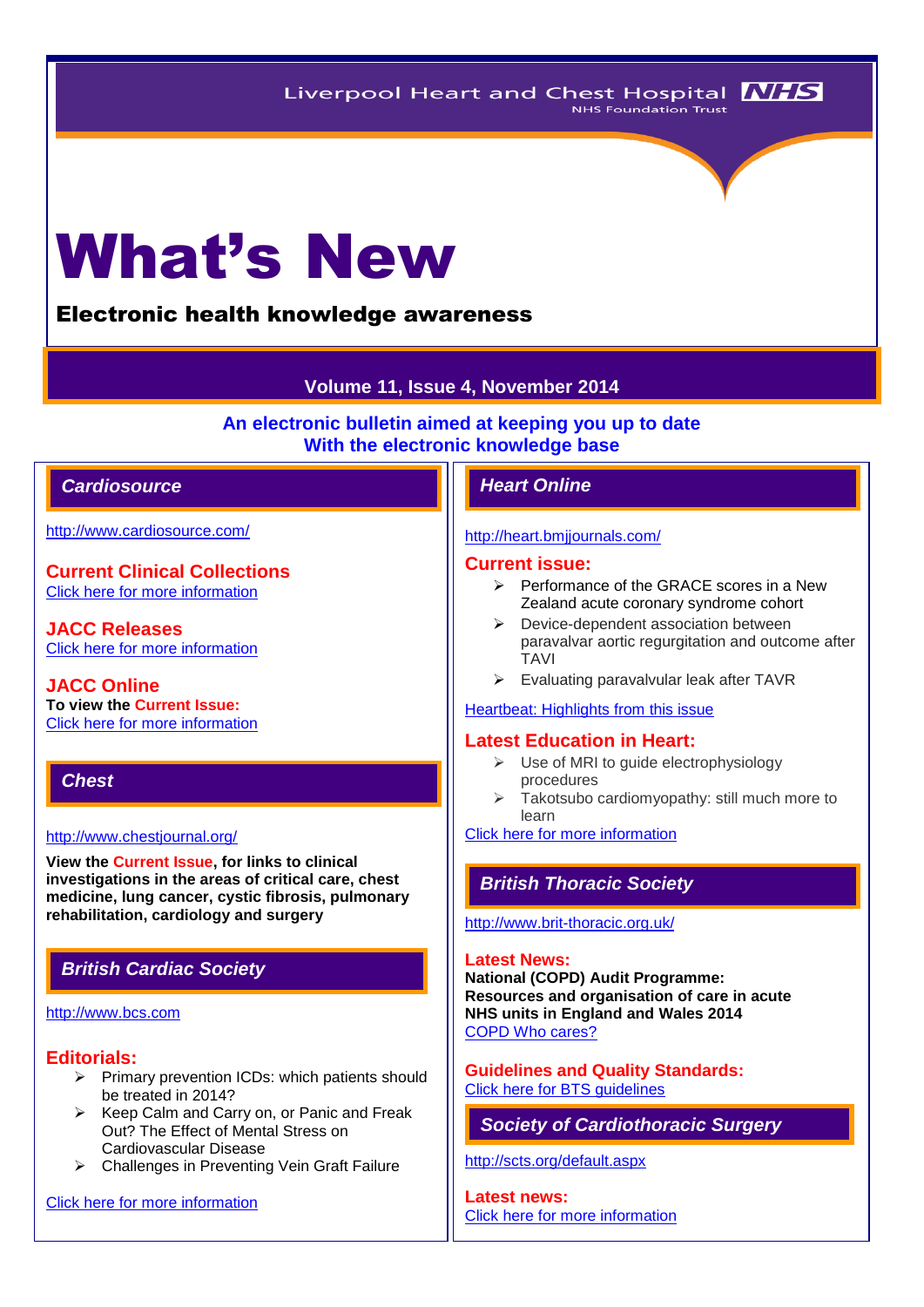# What's New

# Electronic health knowledge awareness

# **Volume 11, Issue 4, November 2014**

**An electronic bulletin aimed at keeping you up to date With the electronic knowledge base**

# *Cardiosource Heart Online*

<http://www.cardiosource.com/>

**Current Clinical Collections** [Click here for more information](http://www.cardiosource.org/science-and-quality/clinical-collections.aspx)

**JACC Releases** [Click here for more information](http://www.cardiosource.org/en/Footer-Pages/Media-Center/News-Releases.aspx)

**JACC Online To view the Current Issue:** [Click here for more information](http://content.onlinejacc.org/current.dtl)

# *Chest*

#### <http://www.chestjournal.org/>

**View the Current Issue, for links to clinical investigations in the areas of critical care, chest medicine, lung cancer, cystic fibrosis, pulmonary rehabilitation, cardiology and surgery**

# *British Cardiac Society*

# [http://www.bcs.com](http://www.bcs.com/)

# **Editorials:**

- $\triangleright$  Primary prevention ICDs: which patients should be treated in 2014?
- $\triangleright$  Keep Calm and Carry on, or Panic and Freak Out? The Effect of Mental Stress on Cardiovascular Disease
- Challenges in Preventing Vein Graft Failure

[Click here for more information](http://www.bcs.com/editorial/editorial.asp)

# <http://heart.bmjjournals.com/>

#### **Current issue:**

- $\triangleright$  Performance of the GRACE scores in a New Zealand acute coronary syndrome cohort
- $\triangleright$  Device-dependent association between paravalvar aortic regurgitation and outcome after TAVI
- $\triangleright$  Evaluating paravalvular leak after TAVR

# [Heartbeat: Highlights from this issue](http://heart.bmj.com/content/100/15/1145.extract)

# **Latest Education in Heart:**

- $\triangleright$  Use of MRI to guide electrophysiology procedures
- $\triangleright$  Takotsubo cardiomyopathy: still much more to learn

[Click here for more information](http://heart.bmj.com/site/about/education.xhtml) 

# *British Thoracic Society*

#### <http://www.brit-thoracic.org.uk/>

#### **Latest News:**

**National (COPD) Audit Programme: Resources and organisation of care in acute NHS units in England and Wales 2014** [COPD Who cares?](https://www.rcplondon.ac.uk/sites/default/files/national_copd_secondary_care_organisational_audit_2014_exec_summary_web.pdf)

# **Guidelines and Quality Standards:** [Click here for BTS guidelines](https://www.brit-thoracic.org.uk/guidelines-and-quality-standards/)

*Society of Cardiothoracic Surgery* 

<http://scts.org/default.aspx>

**Latest news:** [Click here for more information](http://scts.org/modules/news/)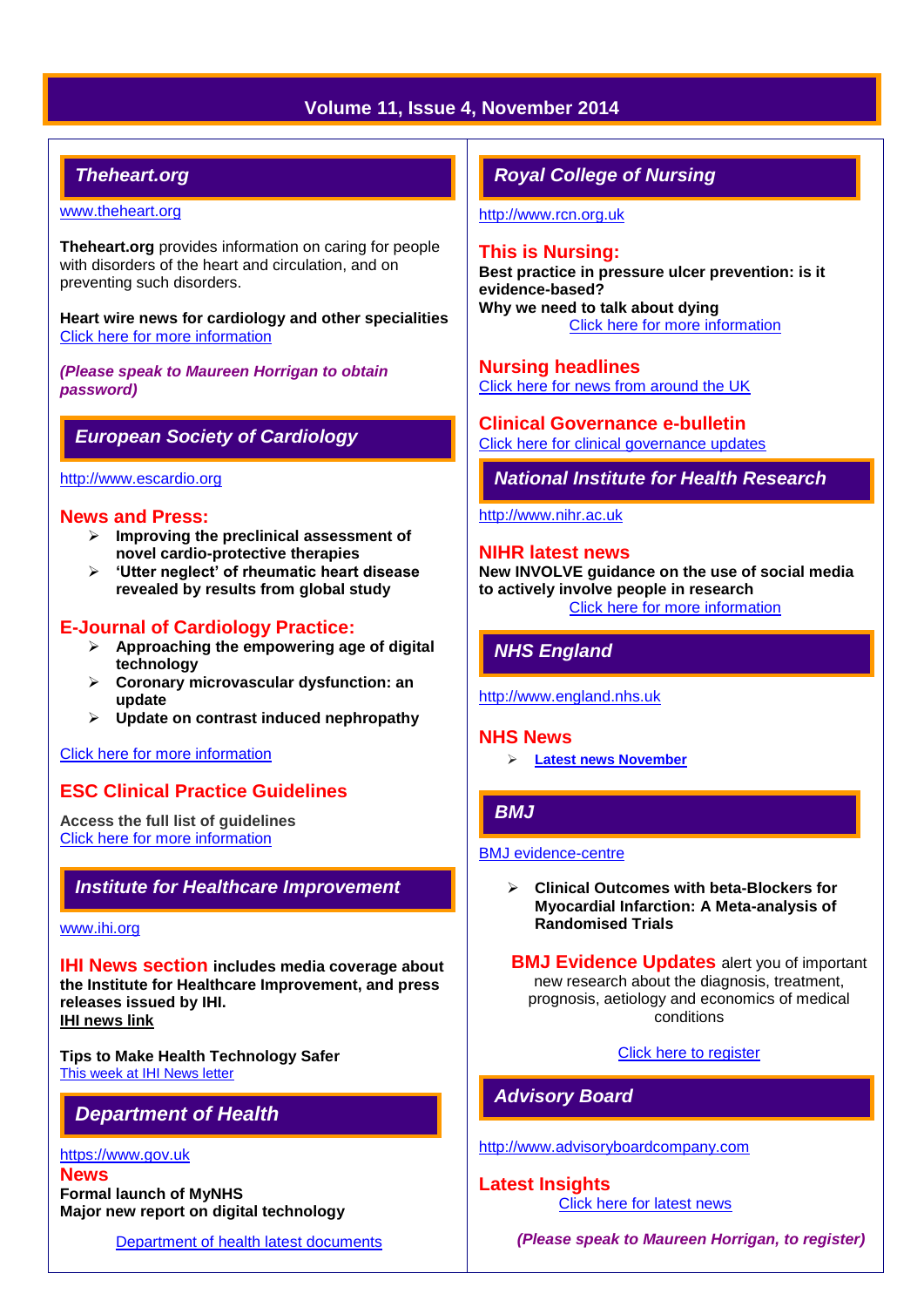# **Volume 11, Issue 4, November 2014**

# *Theheart.org*

#### [www.theheart.org](http://www.theheart.org/)

**Theheart.org** provides information on caring for people with disorders of the heart and circulation, and on preventing such disorders.

**Heart wire news for cardiology and other specialities** [Click here for more information](http://www.medscape.com/cardiology)

*(Please speak to Maureen Horrigan to obtain password)*

# *European Society of Cardiology*

#### [http://www.escardio.org](http://www.escardio.org/Pages/index.aspx)

# **News and Press:**

- **Improving the preclinical assessment of novel cardio-protective therapies**
- **'Utter neglect' of rheumatic heart disease revealed by results from global study**

# **E-Journal of Cardiology Practice:**

- **Approaching the empowering age of digital technology**
- **Coronary microvascular dysfunction: an update**
- **Update on contrast induced nephropathy**

# [Click here for more information](http://www.escardio.org/communities/councils/ccp/e-journal/Pages/welcome.aspx?hit=homepage)

# **ESC Clinical Practice Guidelines**

**Access the full list of guidelines**  [Click here for more information](http://www.escardio.org/guidelines-surveys/esc-guidelines/Pages/GuidelinesList.aspx)

# *Institute for Healthcare Improvement*

## [www.ihi.org](http://www.ihi.org/)

**IHI News section includes media coverage about the Institute for Healthcare Improvement, and press releases issued by IHI. [IHI news link](http://www.ihi.org/about/news/Pages/default.aspx)**

**Tips to Make Health Technology Safer**  [This week at IHI News letter](http://www.ihi.org/Documents/ThisWeekatIHI.htm) 

# *Department of Health*

#### [https://www.gov.uk](https://www.gov.uk/government/organisations/department-of-health) **News**

**Formal launch of MyNHS Major new report on digital technology**

[Department of health latest documents](https://www.gov.uk/government/latest?departments%5B%5D=department-of-health)

# *Royal College of Nursing*

[http://www.rcn.org.uk](http://www.rcn.org.uk/)

## **This is Nursing:**

**Best practice in pressure ulcer prevention: is it evidence-based? Why we need to talk about dying** [Click here for more information](http://thisisnursing.rcn.org.uk/members/)

**Nursing headlines**

[Click here for news from around the UK](http://www.rcn.org.uk/newsevents/news)

**Clinical Governance e-bulletin** [Click here for clinical governance updates](http://www.rcn.org.uk/development/practice/clinical_governance/quality_and_safety_e-bulletin/e-bulletin_archive)

*National Institute for Health Research* 

[http://www.nihr.ac.uk](http://www.nihr.ac.uk/)

#### **NIHR latest news**

**New INVOLVE guidance on the use of social media to actively involve people in research** [Click here for more information](http://www.nihr.ac.uk/news/Pages/default.aspx)

# *NHS England*

[http://www.england.nhs.uk](http://www.england.nhs.uk/)

#### **NHS News**

**[Latest news November](http://www.england.nhs.uk/2014/11/)**

# *BMJ*

#### [BMJ evidence-centre](http://plus.mcmaster.ca/EvidenceUpdates/Default.aspx)

 **Clinical Outcomes with beta-Blockers for Myocardial Infarction: A Meta-analysis of Randomised Trials** 

**BMJ Evidence Updates** alert you of important new research about the diagnosis, treatment, prognosis, aetiology and economics of medical conditions

# [Click here to register](http://plus.mcmaster.ca/EvidenceUpdates/Registration.aspx)

# *Advisory Board*

[http://www.advisoryboardcompany.com](http://www.advisoryboardcompany.com/)

**Latest Insights** *[Click here for latest news](http://www.advisory.com/International)* 

*(Please speak to Maureen Horrigan, to register)*